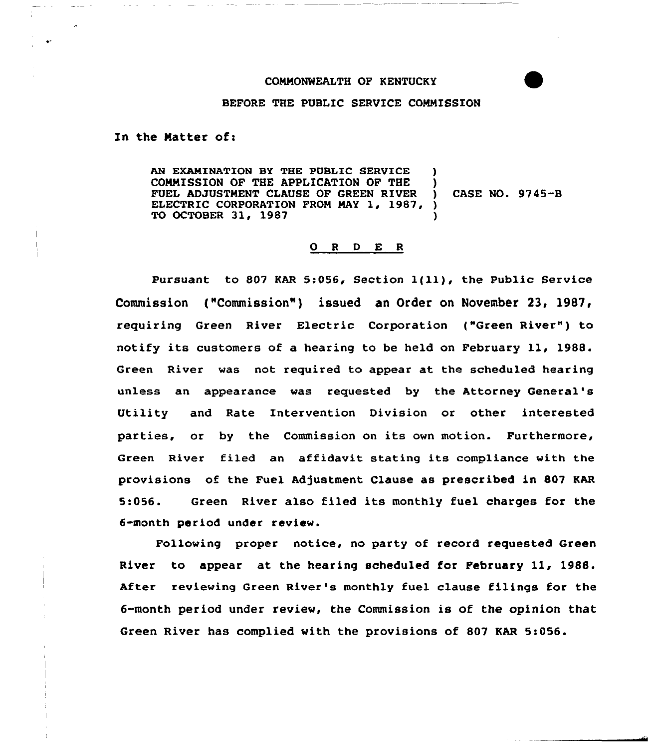## COMMONWEALTH OF KENTUCKY



## BEFORE THE PUBLIC SERVICE COMMISSION

In the Natter of:

AN EXAMINATION BY THE PUBLIC SERVICE COMMISSION OF THE APPLICATION OF THE )<br>FUEL ADJUSTMENT CLAUSE OF GREEN RIVER ) FUEL ADJUSTMENT CLAUSE OF GREEN RIVER ELECTRIC CORPORATION FROM MAY 1, 1987, ) TO OCTOBER 31, 1987 ) CASE NO. 9745-B

## 0 <sup>R</sup> <sup>D</sup> E <sup>R</sup>

Pursuant to <sup>807</sup> KAR 5:056, Section l{ll), the Public Service Commission ("Commission") issued an Order on November 23, 1987, requiring Green River Electric Corporation ("Green River") to notify its customers of <sup>a</sup> hearing to be held on Febxuary ll, 1988. Green River was not required to appear at the scheduled hearing unless an appeaxance was requested by the Attorney General' Utility and Rate Intervention Division or other interested parties, or by the Commission on its own motion. Furthermore, Green River filed an affidavit stating its compliance with the provisions of the Fuel Adjustment Clause as prescribed in 807 KAR 5:056. Green River also filed its monthly fuel charges for the 6-month period under review.

Following proper notice, no party of record requested Green River to appear at the hearing scheduled for February 11, 1988. After reviewing Green River's monthly fuel clause filings for the 6-month period under review, the Commission is of the opinion that Green River has complied with the provisions of 807 KAR 5:056.